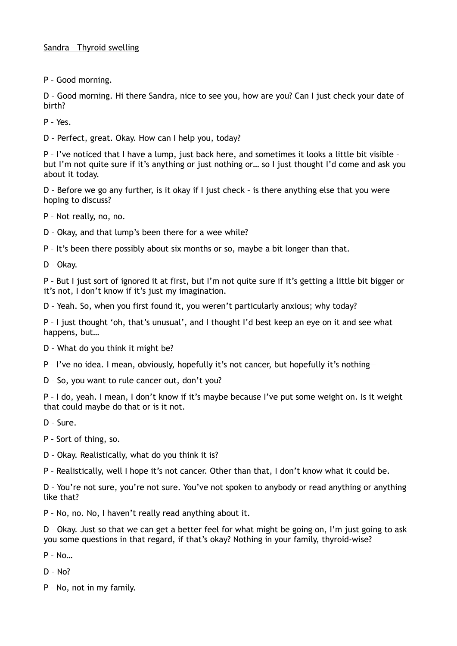## Sandra – Thyroid swelling

P – Good morning.

D – Good morning. Hi there Sandra, nice to see you, how are you? Can I just check your date of birth?

P – Yes.

D – Perfect, great. Okay. How can I help you, today?

P – I've noticed that I have a lump, just back here, and sometimes it looks a little bit visible – but I'm not quite sure if it's anything or just nothing or… so I just thought I'd come and ask you about it today.

D – Before we go any further, is it okay if I just check – is there anything else that you were hoping to discuss?

P – Not really, no, no.

D – Okay, and that lump's been there for a wee while?

P – It's been there possibly about six months or so, maybe a bit longer than that.

D – Okay.

P – But I just sort of ignored it at first, but I'm not quite sure if it's getting a little bit bigger or it's not, I don't know if it's just my imagination.

D – Yeah. So, when you first found it, you weren't particularly anxious; why today?

P – I just thought 'oh, that's unusual', and I thought I'd best keep an eye on it and see what happens, but…

D – What do you think it might be?

P – I've no idea. I mean, obviously, hopefully it's not cancer, but hopefully it's nothing—

D – So, you want to rule cancer out, don't you?

P – I do, yeah. I mean, I don't know if it's maybe because I've put some weight on. Is it weight that could maybe do that or is it not.

- D Sure.
- P Sort of thing, so.
- D Okay. Realistically, what do you think it is?

P – Realistically, well I hope it's not cancer. Other than that, I don't know what it could be.

D – You're not sure, you're not sure. You've not spoken to anybody or read anything or anything like that?

P – No, no. No, I haven't really read anything about it.

D – Okay. Just so that we can get a better feel for what might be going on, I'm just going to ask you some questions in that regard, if that's okay? Nothing in your family, thyroid-wise?

P – No…

 $D - No?$ 

P – No, not in my family.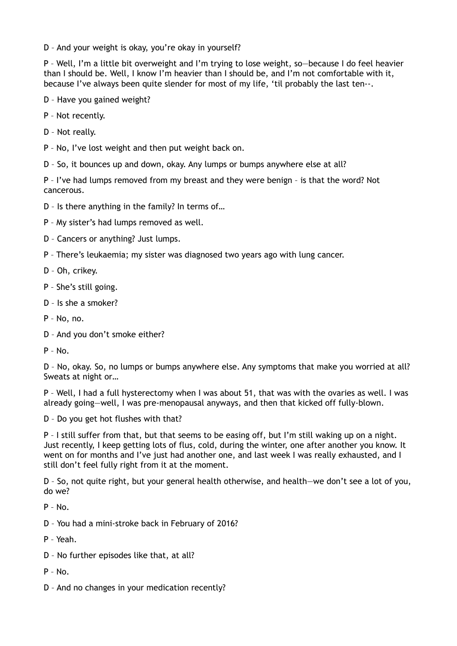D – And your weight is okay, you're okay in yourself?

P – Well, I'm a little bit overweight and I'm trying to lose weight, so—because I do feel heavier than I should be. Well, I know I'm heavier than I should be, and I'm not comfortable with it, because I've always been quite slender for most of my life, 'til probably the last ten--.

- D Have you gained weight?
- P Not recently.
- D Not really.

P – No, I've lost weight and then put weight back on.

D – So, it bounces up and down, okay. Any lumps or bumps anywhere else at all?

P – I've had lumps removed from my breast and they were benign – is that the word? Not cancerous.

D – Is there anything in the family? In terms of…

P – My sister's had lumps removed as well.

D – Cancers or anything? Just lumps.

- P There's leukaemia; my sister was diagnosed two years ago with lung cancer.
- D Oh, crikey.
- P She's still going.
- D Is she a smoker?
- P No, no.
- D And you don't smoke either?
- $P No$ .

D – No, okay. So, no lumps or bumps anywhere else. Any symptoms that make you worried at all? Sweats at night or…

P – Well, I had a full hysterectomy when I was about 51, that was with the ovaries as well. I was already going—well, I was pre-menopausal anyways, and then that kicked off fully-blown.

D – Do you get hot flushes with that?

P – I still suffer from that, but that seems to be easing off, but I'm still waking up on a night. Just recently, I keep getting lots of flus, cold, during the winter, one after another you know. It went on for months and I've just had another one, and last week I was really exhausted, and I still don't feel fully right from it at the moment.

D – So, not quite right, but your general health otherwise, and health—we don't see a lot of you, do we?

 $P - No$ .

- D You had a mini-stroke back in February of 2016?
- P Yeah.
- D No further episodes like that, at all?
- $P No$ .
- D And no changes in your medication recently?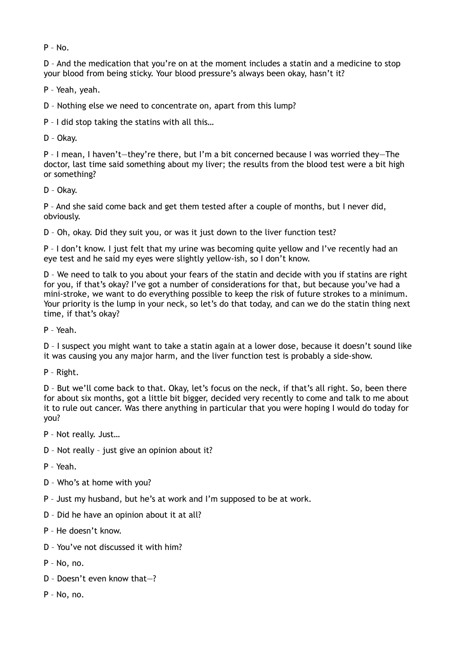$P - No.$ 

D – And the medication that you're on at the moment includes a statin and a medicine to stop your blood from being sticky. Your blood pressure's always been okay, hasn't it?

P – Yeah, yeah.

D – Nothing else we need to concentrate on, apart from this lump?

P – I did stop taking the statins with all this…

D – Okay.

P – I mean, I haven't—they're there, but I'm a bit concerned because I was worried they—The doctor, last time said something about my liver; the results from the blood test were a bit high or something?

D – Okay.

P – And she said come back and get them tested after a couple of months, but I never did, obviously.

D – Oh, okay. Did they suit you, or was it just down to the liver function test?

P – I don't know. I just felt that my urine was becoming quite yellow and I've recently had an eye test and he said my eyes were slightly yellow-ish, so I don't know.

D – We need to talk to you about your fears of the statin and decide with you if statins are right for you, if that's okay? I've got a number of considerations for that, but because you've had a mini-stroke, we want to do everything possible to keep the risk of future strokes to a minimum. Your priority is the lump in your neck, so let's do that today, and can we do the statin thing next time, if that's okay?

P – Yeah.

D – I suspect you might want to take a statin again at a lower dose, because it doesn't sound like it was causing you any major harm, and the liver function test is probably a side-show.

P – Right.

D – But we'll come back to that. Okay, let's focus on the neck, if that's all right. So, been there for about six months, got a little bit bigger, decided very recently to come and talk to me about it to rule out cancer. Was there anything in particular that you were hoping I would do today for you?

P – Not really. Just…

- D Not really just give an opinion about it?
- P Yeah.
- D Who's at home with you?
- P Just my husband, but he's at work and I'm supposed to be at work.
- D Did he have an opinion about it at all?

P – He doesn't know.

- D You've not discussed it with him?
- P No, no.
- D Doesn't even know that—?
- P No, no.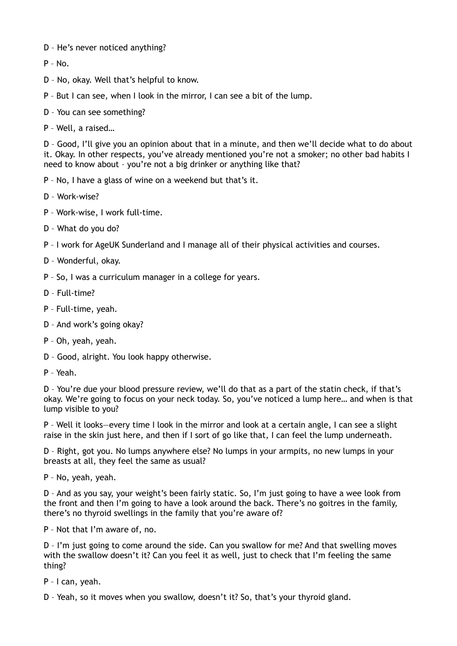- D He's never noticed anything?
- P No.
- D No, okay. Well that's helpful to know.
- P But I can see, when I look in the mirror, I can see a bit of the lump.
- D You can see something?
- P Well, a raised…

D – Good, I'll give you an opinion about that in a minute, and then we'll decide what to do about it. Okay. In other respects, you've already mentioned you're not a smoker; no other bad habits I need to know about – you're not a big drinker or anything like that?

- P No, I have a glass of wine on a weekend but that's it.
- D Work-wise?
- P Work-wise, I work full-time.
- D What do you do?
- P I work for AgeUK Sunderland and I manage all of their physical activities and courses.
- D Wonderful, okay.
- P So, I was a curriculum manager in a college for years.
- D Full-time?
- P Full-time, yeah.
- D And work's going okay?
- P Oh, yeah, yeah.
- D Good, alright. You look happy otherwise.
- P Yeah.

D – You're due your blood pressure review, we'll do that as a part of the statin check, if that's okay. We're going to focus on your neck today. So, you've noticed a lump here… and when is that lump visible to you?

P – Well it looks—every time I look in the mirror and look at a certain angle, I can see a slight raise in the skin just here, and then if I sort of go like that, I can feel the lump underneath.

D – Right, got you. No lumps anywhere else? No lumps in your armpits, no new lumps in your breasts at all, they feel the same as usual?

P – No, yeah, yeah.

D – And as you say, your weight's been fairly static. So, I'm just going to have a wee look from the front and then I'm going to have a look around the back. There's no goitres in the family, there's no thyroid swellings in the family that you're aware of?

P – Not that I'm aware of, no.

D – I'm just going to come around the side. Can you swallow for me? And that swelling moves with the swallow doesn't it? Can you feel it as well, just to check that I'm feeling the same thing?

- P I can, yeah.
- D Yeah, so it moves when you swallow, doesn't it? So, that's your thyroid gland.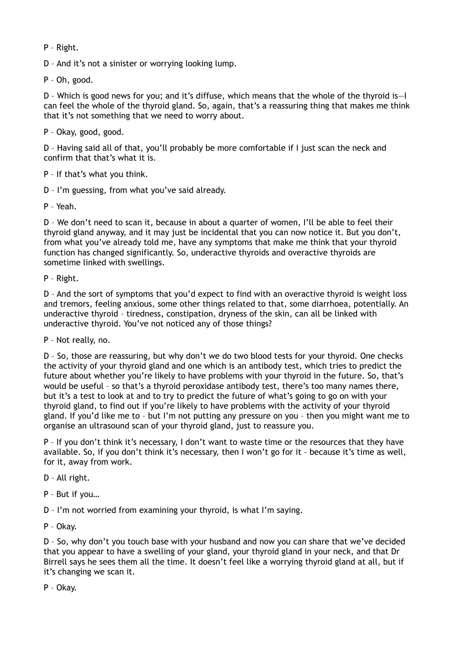P – Right.

D – And it's not a sinister or worrying looking lump.

P – Oh, good.

D – Which is good news for you; and it's diffuse, which means that the whole of the thyroid is—I can feel the whole of the thyroid gland. So, again, that's a reassuring thing that makes me think that it's not something that we need to worry about.

P – Okay, good, good.

D – Having said all of that, you'll probably be more comfortable if I just scan the neck and confirm that that's what it is.

P – If that's what you think.

D – I'm guessing, from what you've said already.

P – Yeah.

D – We don't need to scan it, because in about a quarter of women, I'll be able to feel their thyroid gland anyway, and it may just be incidental that you can now notice it. But you don't, from what you've already told me, have any symptoms that make me think that your thyroid function has changed significantly. So, underactive thyroids and overactive thyroids are sometime linked with swellings.

P – Right.

D – And the sort of symptoms that you'd expect to find with an overactive thyroid is weight loss and tremors, feeling anxious, some other things related to that, some diarrhoea, potentially. An underactive thyroid – tiredness, constipation, dryness of the skin, can all be linked with underactive thyroid. You've not noticed any of those things?

P – Not really, no.

D – So, those are reassuring, but why don't we do two blood tests for your thyroid. One checks the activity of your thyroid gland and one which is an antibody test, which tries to predict the future about whether you're likely to have problems with your thyroid in the future. So, that's would be useful – so that's a thyroid peroxidase antibody test, there's too many names there, but it's a test to look at and to try to predict the future of what's going to go on with your thyroid gland, to find out if you're likely to have problems with the activity of your thyroid gland. If you'd like me to – but I'm not putting any pressure on you – then you might want me to organise an ultrasound scan of your thyroid gland, just to reassure you.

P – If you don't think it's necessary, I don't want to waste time or the resources that they have available. So, if you don't think it's necessary, then I won't go for it – because it's time as well, for it, away from work.

D – All right.

P – But if you…

D – I'm not worried from examining your thyroid, is what I'm saying.

P – Okay.

D – So, why don't you touch base with your husband and now you can share that we've decided that you appear to have a swelling of your gland, your thyroid gland in your neck, and that Dr Birrell says he sees them all the time. It doesn't feel like a worrying thyroid gland at all, but if it's changing we scan it.

P – Okay.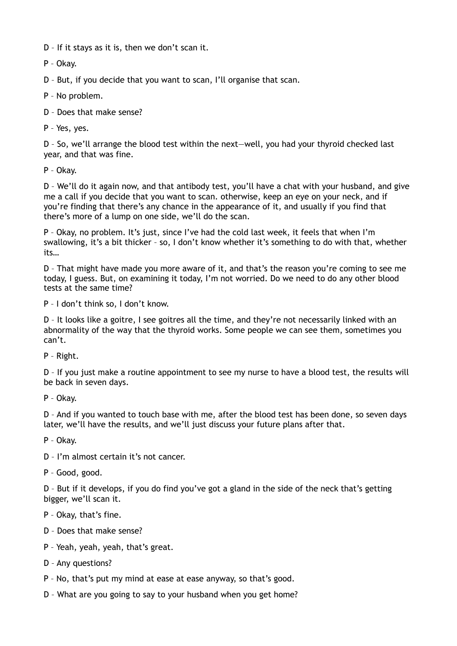D – If it stays as it is, then we don't scan it.

P – Okay.

D – But, if you decide that you want to scan, I'll organise that scan.

P – No problem.

D – Does that make sense?

P – Yes, yes.

D – So, we'll arrange the blood test within the next—well, you had your thyroid checked last year, and that was fine.

P – Okay.

D – We'll do it again now, and that antibody test, you'll have a chat with your husband, and give me a call if you decide that you want to scan. otherwise, keep an eye on your neck, and if you're finding that there's any chance in the appearance of it, and usually if you find that there's more of a lump on one side, we'll do the scan.

P – Okay, no problem. It's just, since I've had the cold last week, it feels that when I'm swallowing, it's a bit thicker – so, I don't know whether it's something to do with that, whether its…

D – That might have made you more aware of it, and that's the reason you're coming to see me today, I guess. But, on examining it today, I'm not worried. Do we need to do any other blood tests at the same time?

P – I don't think so, I don't know.

D – It looks like a goitre, I see goitres all the time, and they're not necessarily linked with an abnormality of the way that the thyroid works. Some people we can see them, sometimes you can't.

P – Right.

D – If you just make a routine appointment to see my nurse to have a blood test, the results will be back in seven days.

P – Okay.

D – And if you wanted to touch base with me, after the blood test has been done, so seven days later, we'll have the results, and we'll just discuss your future plans after that.

P – Okay.

D – I'm almost certain it's not cancer.

P – Good, good.

D – But if it develops, if you do find you've got a gland in the side of the neck that's getting bigger, we'll scan it.

- P Okay, that's fine.
- D Does that make sense?
- P Yeah, yeah, yeah, that's great.
- D Any questions?
- P No, that's put my mind at ease at ease anyway, so that's good.
- D What are you going to say to your husband when you get home?